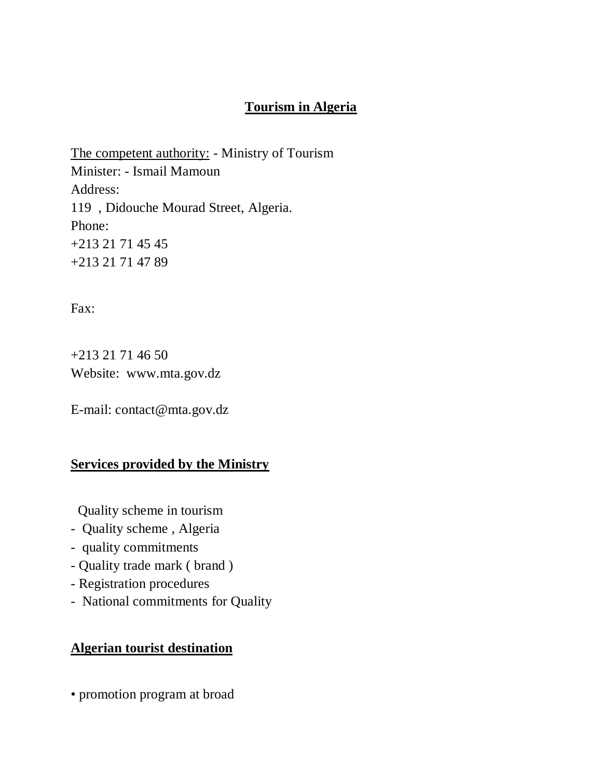# **Tourism in Algeria**

The competent authority: - Ministry of Tourism Minister: - Ismail Mamoun Address: 119 , Didouche Mourad Street, Algeria. Phone: +213 21 71 45 45 +213 21 71 47 89

Fax:

+213 21 71 46 50 Website: www.mta.gov.dz

E-mail: contact@mta.gov.dz

#### **Services provided by the Ministry**

Quality scheme in tourism

- Quality scheme , Algeria
- quality commitments
- Quality trade mark ( brand )
- Registration procedures
- National commitments for Quality

# **Algerian tourist destination**

• promotion program at broad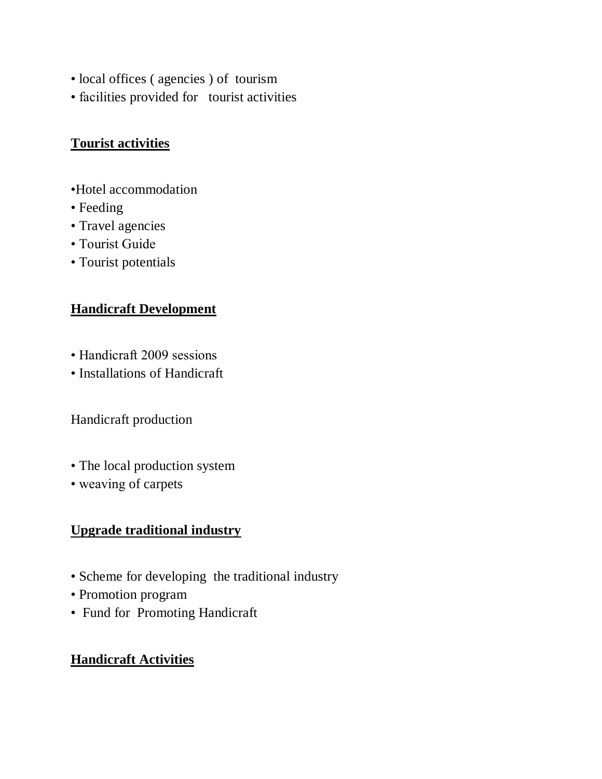- local offices ( agencies ) of tourism
- facilities provided for tourist activities

# **Tourist activities**

- •Hotel accommodation
- Feeding
- Travel agencies
- Tourist Guide
- Tourist potentials

### **Handicraft Development**

- Handicraft 2009 sessions
- Installations of Handicraft

Handicraft production

- The local production system
- weaving of carpets

# **Upgrade traditional industry**

- Scheme for developing the traditional industry
- Promotion program
- Fund for Promoting Handicraft

# **Handicraft Activities**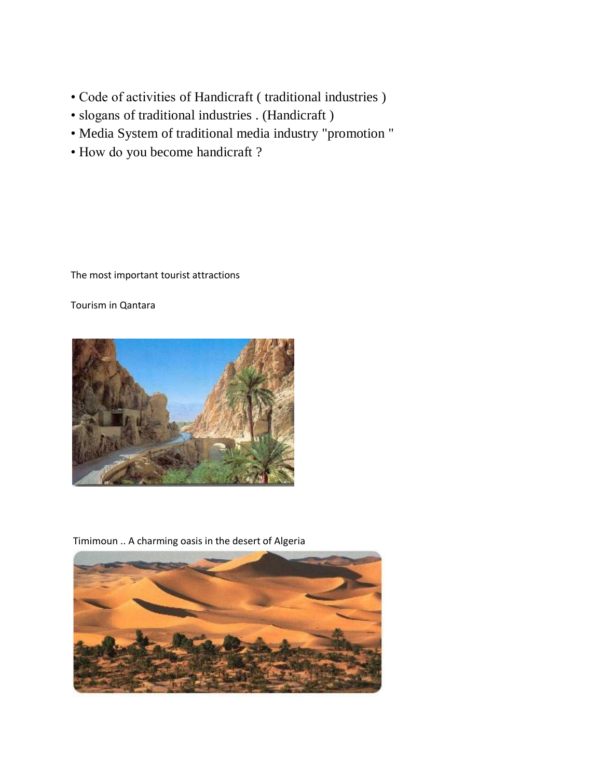- Code of activities of Handicraft ( traditional industries )
- slogans of traditional industries . (Handicraft )
- Media System of traditional media industry "promotion "
- How do you become handicraft ?

The most important tourist attractions

Tourism in Qantara



Timimoun .. A charming oasis in the desert of Algeria

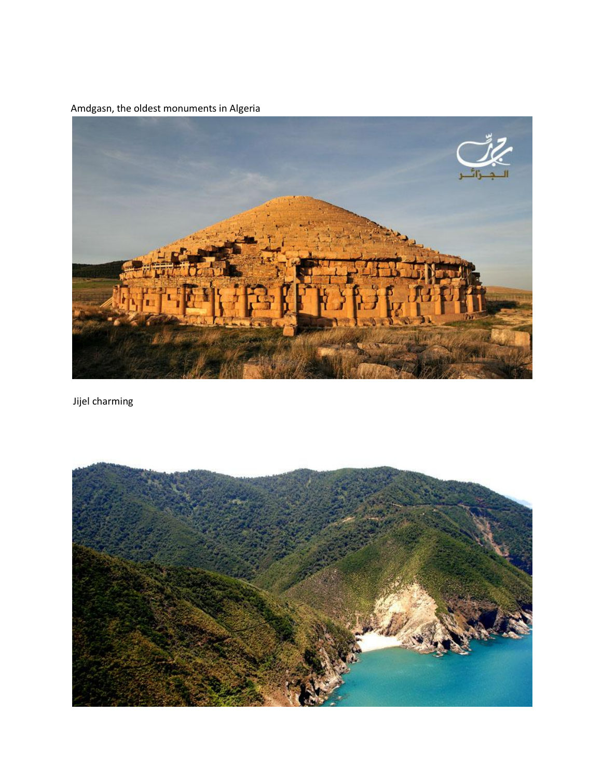Amdgasn, the oldest monuments in Algeria



Jijel charming

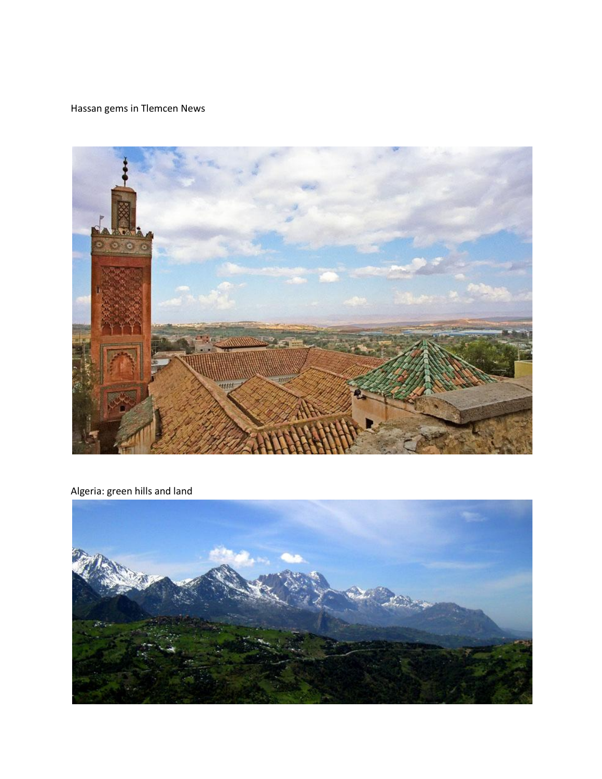Hassan gems in Tlemcen News



Algeria: green hills and land

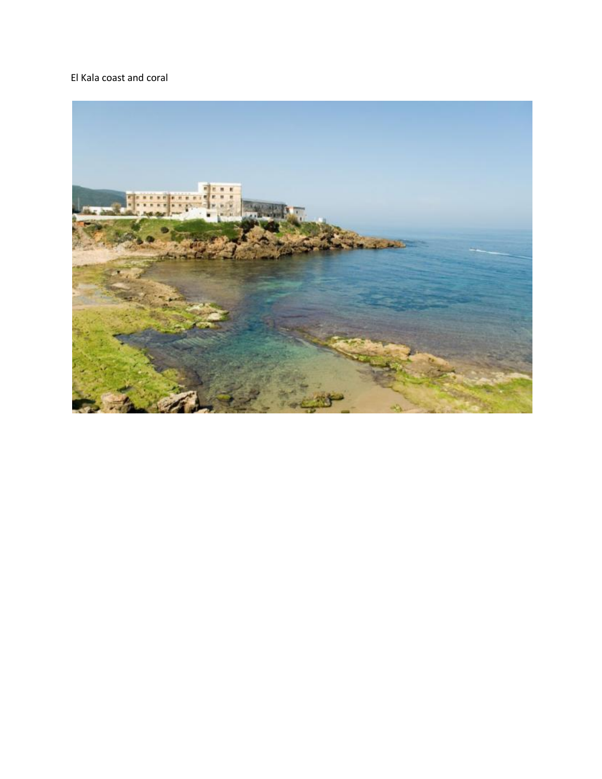#### El Kala coast and coral